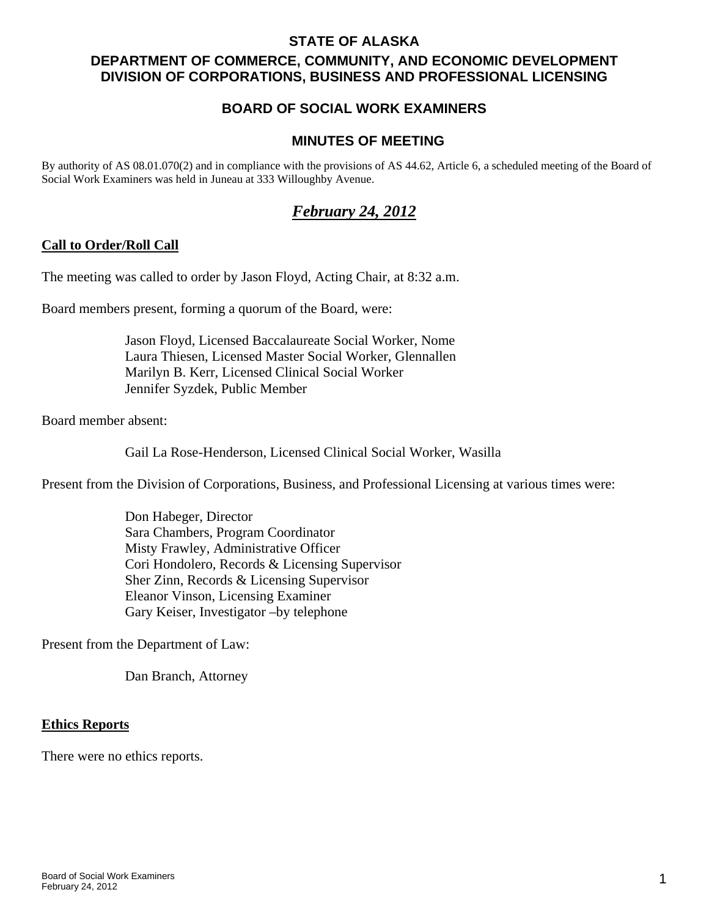### **STATE OF ALASKA**

# **DEPARTMENT OF COMMERCE, COMMUNITY, AND ECONOMIC DEVELOPMENT DIVISION OF CORPORATIONS, BUSINESS AND PROFESSIONAL LICENSING**

# **BOARD OF SOCIAL WORK EXAMINERS**

### **MINUTES OF MEETING**

By authority of AS 08.01.070(2) and in compliance with the provisions of AS 44.62, Article 6, a scheduled meeting of the Board of Social Work Examiners was held in Juneau at 333 Willoughby Avenue.

# *February 24, 2012*

### **Call to Order/Roll Call**

The meeting was called to order by Jason Floyd, Acting Chair, at 8:32 a.m.

Board members present, forming a quorum of the Board, were:

 Jason Floyd, Licensed Baccalaureate Social Worker, Nome Laura Thiesen, Licensed Master Social Worker, Glennallen Marilyn B. Kerr, Licensed Clinical Social Worker Jennifer Syzdek, Public Member

Board member absent:

Gail La Rose-Henderson, Licensed Clinical Social Worker, Wasilla

Present from the Division of Corporations, Business, and Professional Licensing at various times were:

 Don Habeger, Director Sara Chambers, Program Coordinator Misty Frawley, Administrative Officer Cori Hondolero, Records & Licensing Supervisor Sher Zinn, Records & Licensing Supervisor Eleanor Vinson, Licensing Examiner Gary Keiser, Investigator –by telephone

Present from the Department of Law:

Dan Branch, Attorney

#### **Ethics Reports**

There were no ethics reports.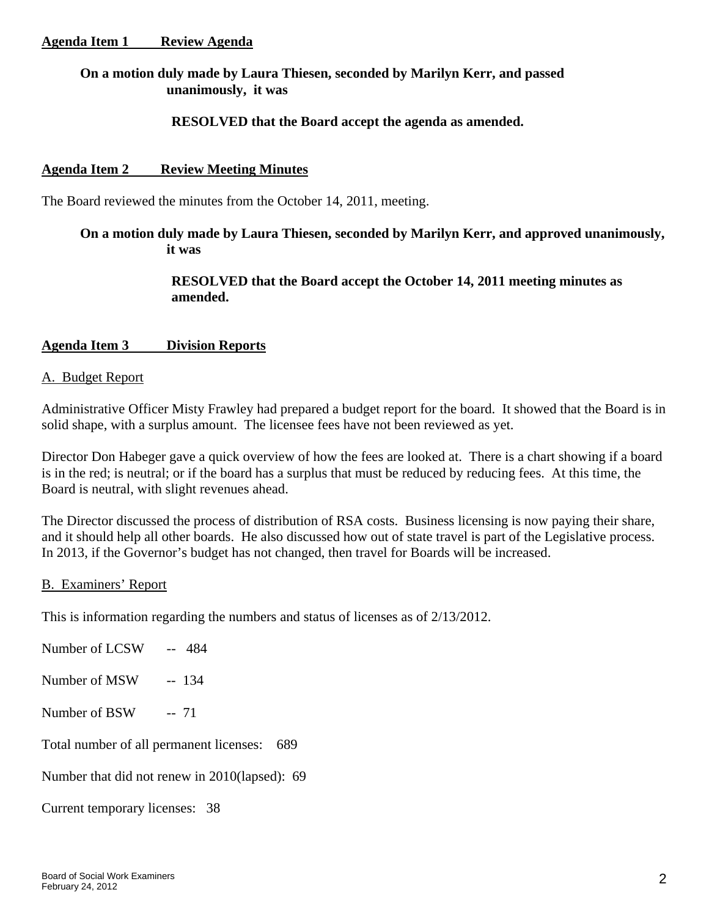## **On a motion duly made by Laura Thiesen, seconded by Marilyn Kerr, and passed unanimously, it was**

## **RESOLVED that the Board accept the agenda as amended.**

### **Agenda Item 2 Review Meeting Minutes**

The Board reviewed the minutes from the October 14, 2011, meeting.

## **On a motion duly made by Laura Thiesen, seconded by Marilyn Kerr, and approved unanimously, it was**

# **RESOLVED that the Board accept the October 14, 2011 meeting minutes as amended.**

### **Agenda Item 3 Division Reports**

#### A. Budget Report

Administrative Officer Misty Frawley had prepared a budget report for the board. It showed that the Board is in solid shape, with a surplus amount. The licensee fees have not been reviewed as yet.

Director Don Habeger gave a quick overview of how the fees are looked at. There is a chart showing if a board is in the red; is neutral; or if the board has a surplus that must be reduced by reducing fees. At this time, the Board is neutral, with slight revenues ahead.

The Director discussed the process of distribution of RSA costs. Business licensing is now paying their share, and it should help all other boards. He also discussed how out of state travel is part of the Legislative process. In 2013, if the Governor's budget has not changed, then travel for Boards will be increased.

### B. Examiners' Report

This is information regarding the numbers and status of licenses as of 2/13/2012.

Number of LCSW -- 484 Number of MSW -- 134 Number of BSW -- 71 Total number of all permanent licenses: 689 Number that did not renew in 2010(lapsed): 69

Current temporary licenses: 38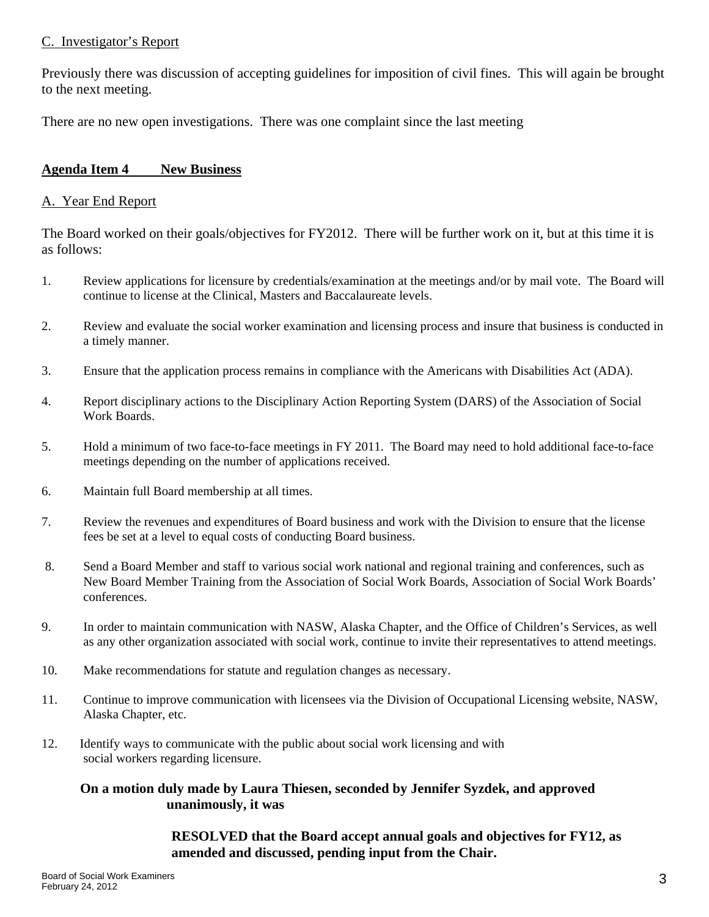## C. Investigator's Report

Previously there was discussion of accepting guidelines for imposition of civil fines. This will again be brought to the next meeting.

There are no new open investigations. There was one complaint since the last meeting

### **Agenda Item 4 New Business**

### A. Year End Report

The Board worked on their goals/objectives for FY2012. There will be further work on it, but at this time it is as follows:

- 1. Review applications for licensure by credentials/examination at the meetings and/or by mail vote. The Board will continue to license at the Clinical, Masters and Baccalaureate levels.
- 2. Review and evaluate the social worker examination and licensing process and insure that business is conducted in a timely manner.
- 3. Ensure that the application process remains in compliance with the Americans with Disabilities Act (ADA).
- 4. Report disciplinary actions to the Disciplinary Action Reporting System (DARS) of the Association of Social Work Boards.
- 5. Hold a minimum of two face-to-face meetings in FY 2011. The Board may need to hold additional face-to-face meetings depending on the number of applications received.
- 6. Maintain full Board membership at all times.
- 7. Review the revenues and expenditures of Board business and work with the Division to ensure that the license fees be set at a level to equal costs of conducting Board business.
- 8. Send a Board Member and staff to various social work national and regional training and conferences, such as New Board Member Training from the Association of Social Work Boards, Association of Social Work Boards' conferences.
- 9. In order to maintain communication with NASW, Alaska Chapter, and the Office of Children's Services, as well as any other organization associated with social work, continue to invite their representatives to attend meetings.
- 10. Make recommendations for statute and regulation changes as necessary.
- 11. Continue to improve communication with licensees via the Division of Occupational Licensing website, NASW, Alaska Chapter, etc.
- 12. Identify ways to communicate with the public about social work licensing and with social workers regarding licensure.

### **On a motion duly made by Laura Thiesen, seconded by Jennifer Syzdek, and approved unanimously, it was**

 **RESOLVED that the Board accept annual goals and objectives for FY12, as amended and discussed, pending input from the Chair.**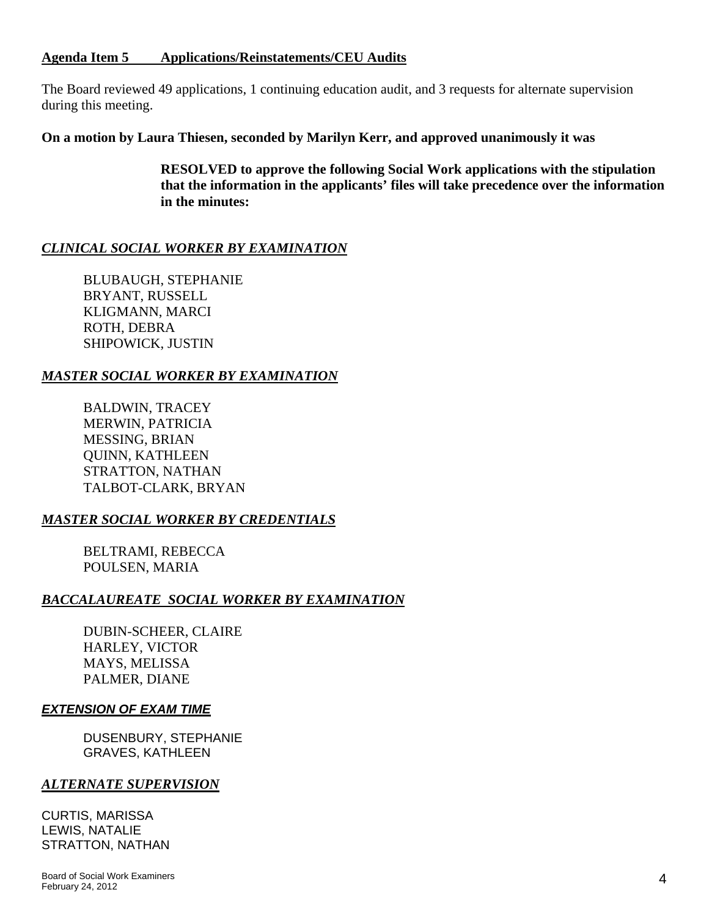#### **Agenda Item 5 Applications/Reinstatements/CEU Audits**

The Board reviewed 49 applications, 1 continuing education audit, and 3 requests for alternate supervision during this meeting.

**On a motion by Laura Thiesen, seconded by Marilyn Kerr, and approved unanimously it was** 

 **RESOLVED to approve the following Social Work applications with the stipulation that the information in the applicants' files will take precedence over the information in the minutes:** 

# *CLINICAL SOCIAL WORKER BY EXAMINATION*

 BLUBAUGH, STEPHANIE BRYANT, RUSSELL KLIGMANN, MARCI ROTH, DEBRA SHIPOWICK, JUSTIN

# *MASTER SOCIAL WORKER BY EXAMINATION*

BALDWIN, TRACEY MERWIN, PATRICIA MESSING, BRIAN QUINN, KATHLEEN STRATTON, NATHAN TALBOT-CLARK, BRYAN

# *MASTER SOCIAL WORKER BY CREDENTIALS*

 BELTRAMI, REBECCA POULSEN, MARIA

# *BACCALAUREATE SOCIAL WORKER BY EXAMINATION*

DUBIN-SCHEER, CLAIRE HARLEY, VICTOR MAYS, MELISSA PALMER, DIANE

### *EXTENSION OF EXAM TIME*

DUSENBURY, STEPHANIE GRAVES, KATHLEEN

### *ALTERNATE SUPERVISION*

CURTIS, MARISSA LEWIS, NATALIE STRATTON, NATHAN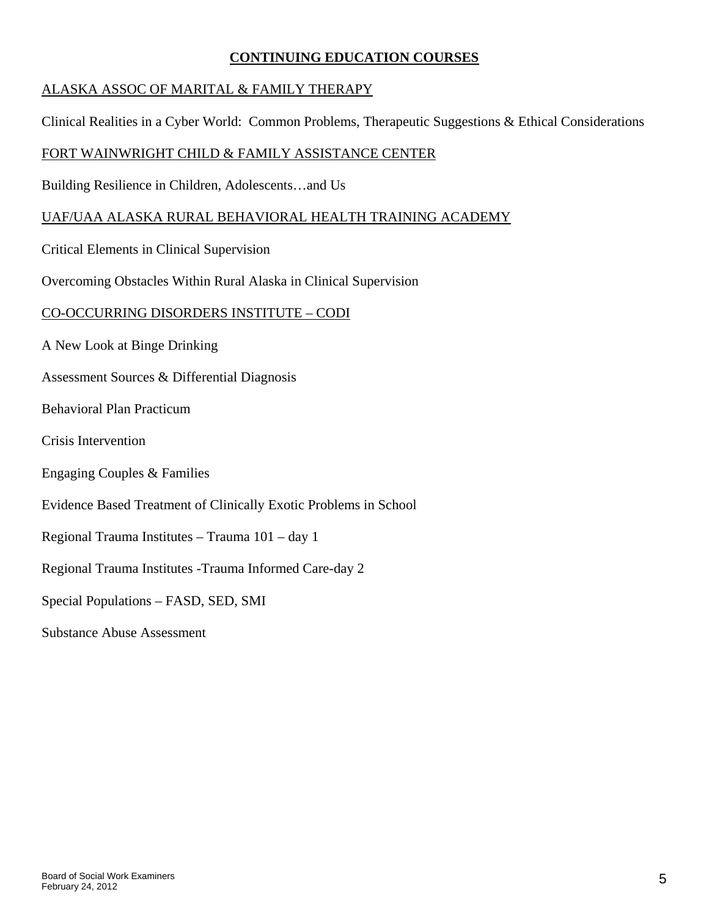### **CONTINUING EDUCATION COURSES**

# ALASKA ASSOC OF MARITAL & FAMILY THERAPY

Clinical Realities in a Cyber World: Common Problems, Therapeutic Suggestions & Ethical Considerations

# FORT WAINWRIGHT CHILD & FAMILY ASSISTANCE CENTER

Building Resilience in Children, Adolescents…and Us

# UAF/UAA ALASKA RURAL BEHAVIORAL HEALTH TRAINING ACADEMY

Critical Elements in Clinical Supervision

Overcoming Obstacles Within Rural Alaska in Clinical Supervision

### CO-OCCURRING DISORDERS INSTITUTE – CODI

A New Look at Binge Drinking

Assessment Sources & Differential Diagnosis

Behavioral Plan Practicum

- Crisis Intervention
- Engaging Couples & Families
- Evidence Based Treatment of Clinically Exotic Problems in School
- Regional Trauma Institutes Trauma 101 day 1

Regional Trauma Institutes -Trauma Informed Care-day 2

Special Populations – FASD, SED, SMI

Substance Abuse Assessment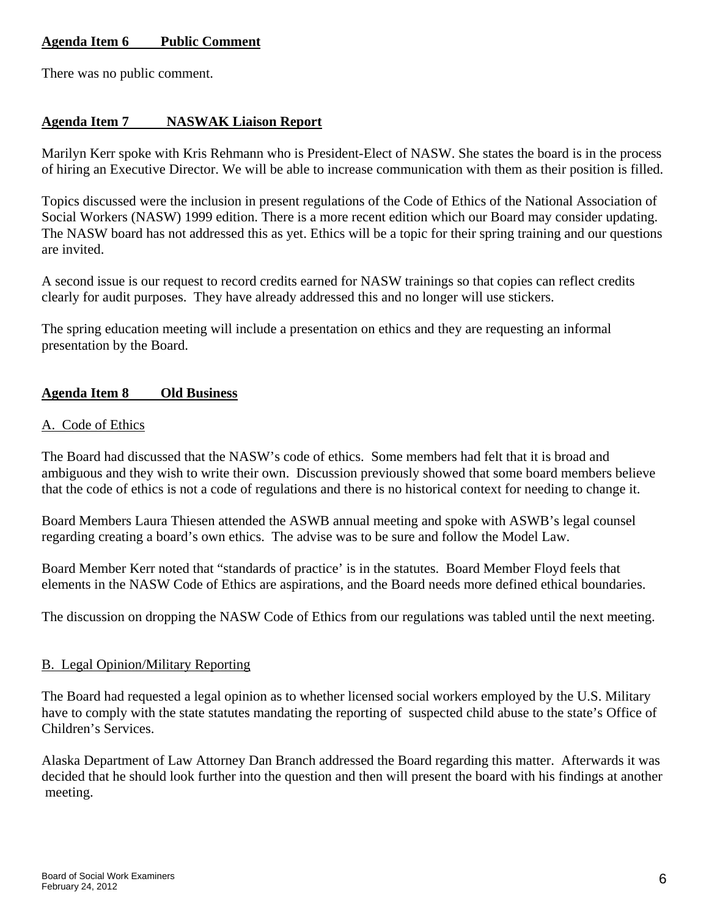# **Agenda Item 6 Public Comment**

There was no public comment.

## **Agenda Item 7 NASWAK Liaison Report**

Marilyn Kerr spoke with Kris Rehmann who is President-Elect of NASW. She states the board is in the process of hiring an Executive Director. We will be able to increase communication with them as their position is filled.

Topics discussed were the inclusion in present regulations of the Code of Ethics of the National Association of Social Workers (NASW) 1999 edition. There is a more recent edition which our Board may consider updating. The NASW board has not addressed this as yet. Ethics will be a topic for their spring training and our questions are invited.

A second issue is our request to record credits earned for NASW trainings so that copies can reflect credits clearly for audit purposes. They have already addressed this and no longer will use stickers.

The spring education meeting will include a presentation on ethics and they are requesting an informal presentation by the Board.

### **Agenda Item 8 Old Business**

### A. Code of Ethics

The Board had discussed that the NASW's code of ethics. Some members had felt that it is broad and ambiguous and they wish to write their own. Discussion previously showed that some board members believe that the code of ethics is not a code of regulations and there is no historical context for needing to change it.

Board Members Laura Thiesen attended the ASWB annual meeting and spoke with ASWB's legal counsel regarding creating a board's own ethics. The advise was to be sure and follow the Model Law.

Board Member Kerr noted that "standards of practice' is in the statutes. Board Member Floyd feels that elements in the NASW Code of Ethics are aspirations, and the Board needs more defined ethical boundaries.

The discussion on dropping the NASW Code of Ethics from our regulations was tabled until the next meeting.

### B. Legal Opinion/Military Reporting

The Board had requested a legal opinion as to whether licensed social workers employed by the U.S. Military have to comply with the state statutes mandating the reporting of suspected child abuse to the state's Office of Children's Services.

Alaska Department of Law Attorney Dan Branch addressed the Board regarding this matter. Afterwards it was decided that he should look further into the question and then will present the board with his findings at another meeting.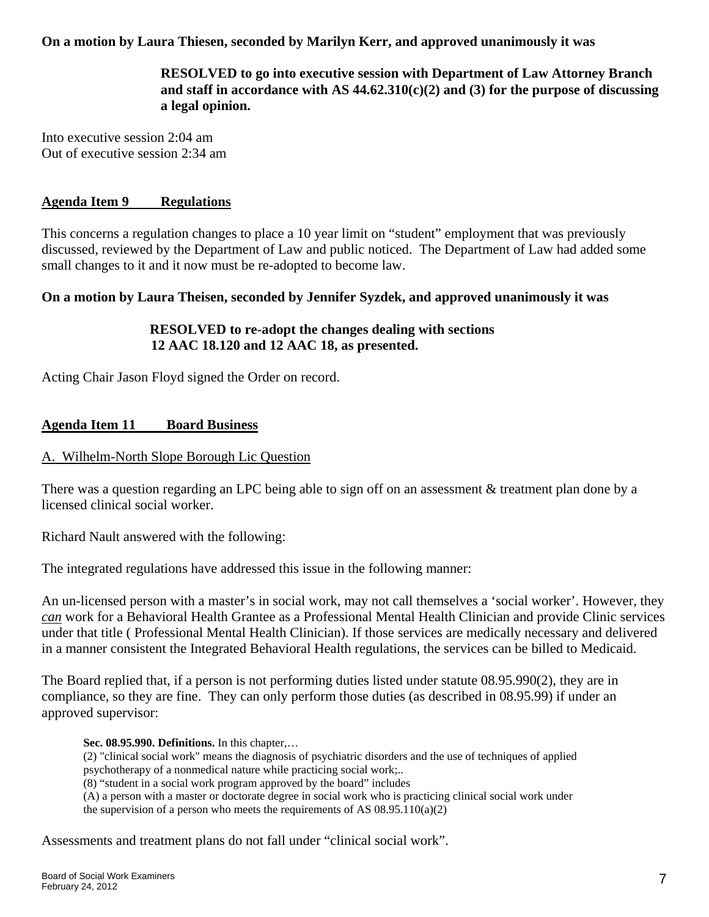# **On a motion by Laura Thiesen, seconded by Marilyn Kerr, and approved unanimously it was**

 **RESOLVED to go into executive session with Department of Law Attorney Branch and staff in accordance with AS 44.62.310(c)(2) and (3) for the purpose of discussing a legal opinion.** 

Into executive session 2:04 am Out of executive session 2:34 am

### **Agenda Item 9 Regulations**

This concerns a regulation changes to place a 10 year limit on "student" employment that was previously discussed, reviewed by the Department of Law and public noticed. The Department of Law had added some small changes to it and it now must be re-adopted to become law.

### **On a motion by Laura Theisen, seconded by Jennifer Syzdek, and approved unanimously it was**

# **RESOLVED to re-adopt the changes dealing with sections 12 AAC 18.120 and 12 AAC 18, as presented.**

Acting Chair Jason Floyd signed the Order on record.

### **Agenda Item 11 Board Business**

### A. Wilhelm-North Slope Borough Lic Question

There was a question regarding an LPC being able to sign off on an assessment & treatment plan done by a licensed clinical social worker.

Richard Nault answered with the following:

The integrated regulations have addressed this issue in the following manner:

An un-licensed person with a master's in social work, may not call themselves a 'social worker'. However, they *can* work for a Behavioral Health Grantee as a Professional Mental Health Clinician and provide Clinic services under that title ( Professional Mental Health Clinician). If those services are medically necessary and delivered in a manner consistent the Integrated Behavioral Health regulations, the services can be billed to Medicaid.

The Board replied that, if a person is not performing duties listed under statute 08.95.990(2), they are in compliance, so they are fine. They can only perform those duties (as described in 08.95.99) if under an approved supervisor:

#### **Sec. 08.95.990. Definitions.** In this chapter,…

(2) "clinical social work" means the diagnosis of psychiatric disorders and the use of techniques of applied psychotherapy of a nonmedical nature while practicing social work;..

(8) "student in a social work program approved by the board" includes

(A) a person with a master or doctorate degree in social work who is practicing clinical social work under the supervision of a person who meets the requirements of AS  $08.95.110(a)(2)$ 

Assessments and treatment plans do not fall under "clinical social work".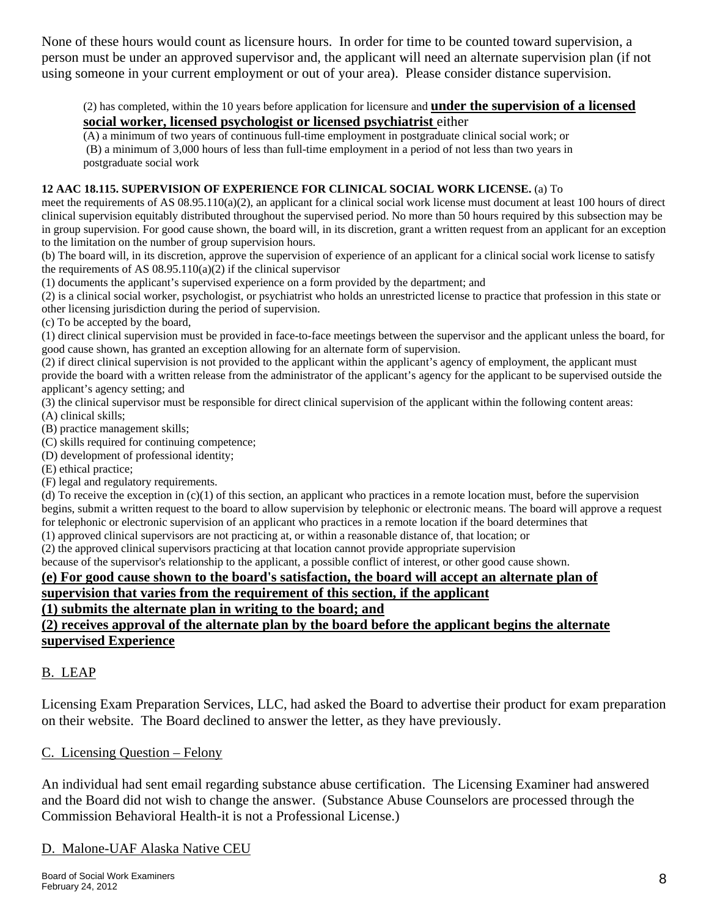None of these hours would count as licensure hours. In order for time to be counted toward supervision, a person must be under an approved supervisor and, the applicant will need an alternate supervision plan (if not using someone in your current employment or out of your area). Please consider distance supervision.

#### (2) has completed, within the 10 years before application for licensure and **under the supervision of a licensed social worker, licensed psychologist or licensed psychiatrist** either

(A) a minimum of two years of continuous full-time employment in postgraduate clinical social work; or (B) a minimum of 3,000 hours of less than full-time employment in a period of not less than two years in postgraduate social work

#### **12 AAC 18.115. SUPERVISION OF EXPERIENCE FOR CLINICAL SOCIAL WORK LICENSE.** (a) To

meet the requirements of AS  $(0.895.110(a)(2))$ , an applicant for a clinical social work license must document at least 100 hours of direct clinical supervision equitably distributed throughout the supervised period. No more than 50 hours required by this subsection may be in group supervision. For good cause shown, the board will, in its discretion, grant a written request from an applicant for an exception to the limitation on the number of group supervision hours.

(b) The board will, in its discretion, approve the supervision of experience of an applicant for a clinical social work license to satisfy the requirements of AS  $08.95.110(a)(2)$  if the clinical supervisor

(1) documents the applicant's supervised experience on a form provided by the department; and

(2) is a clinical social worker, psychologist, or psychiatrist who holds an unrestricted license to practice that profession in this state or other licensing jurisdiction during the period of supervision.

(c) To be accepted by the board,

(1) direct clinical supervision must be provided in face-to-face meetings between the supervisor and the applicant unless the board, for good cause shown, has granted an exception allowing for an alternate form of supervision.

(2) if direct clinical supervision is not provided to the applicant within the applicant's agency of employment, the applicant must provide the board with a written release from the administrator of the applicant's agency for the applicant to be supervised outside the applicant's agency setting; and

(3) the clinical supervisor must be responsible for direct clinical supervision of the applicant within the following content areas:

(A) clinical skills;

(B) practice management skills;

(C) skills required for continuing competence;

(D) development of professional identity;

(E) ethical practice;

(F) legal and regulatory requirements.

(d) To receive the exception in  $(c)(1)$  of this section, an applicant who practices in a remote location must, before the supervision begins, submit a written request to the board to allow supervision by telephonic or electronic means. The board will approve a request for telephonic or electronic supervision of an applicant who practices in a remote location if the board determines that

(1) approved clinical supervisors are not practicing at, or within a reasonable distance of, that location; or

(2) the approved clinical supervisors practicing at that location cannot provide appropriate supervision

because of the supervisor's relationship to the applicant, a possible conflict of interest, or other good cause shown.

### **(e) For good cause shown to the board's satisfaction, the board will accept an alternate plan of**

# **supervision that varies from the requirement of this section, if the applicant**

**(1) submits the alternate plan in writing to the board; and**

#### **(2) receives approval of the alternate plan by the board before the applicant begins the alternate supervised Experience**

# B. LEAP

Licensing Exam Preparation Services, LLC, had asked the Board to advertise their product for exam preparation on their website. The Board declined to answer the letter, as they have previously.

### C. Licensing Question – Felony

An individual had sent email regarding substance abuse certification. The Licensing Examiner had answered and the Board did not wish to change the answer. (Substance Abuse Counselors are processed through the Commission Behavioral Health-it is not a Professional License.)

### D. Malone-UAF Alaska Native CEU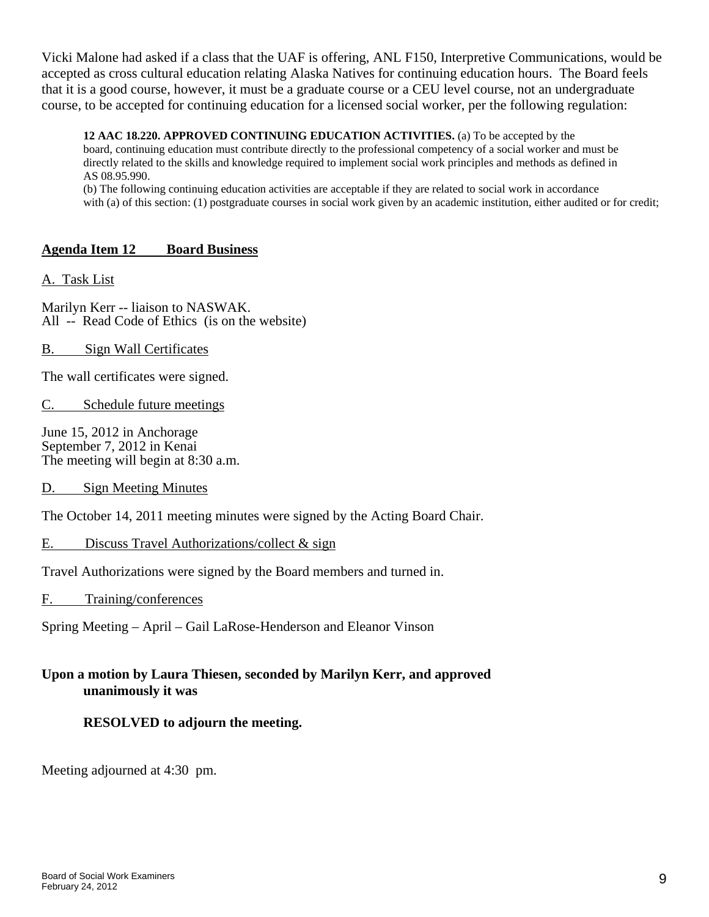Vicki Malone had asked if a class that the UAF is offering, ANL F150, Interpretive Communications, would be accepted as cross cultural education relating Alaska Natives for continuing education hours. The Board feels that it is a good course, however, it must be a graduate course or a CEU level course, not an undergraduate course, to be accepted for continuing education for a licensed social worker, per the following regulation:

**12 AAC 18.220. APPROVED CONTINUING EDUCATION ACTIVITIES.** (a) To be accepted by the board, continuing education must contribute directly to the professional competency of a social worker and must be directly related to the skills and knowledge required to implement social work principles and methods as defined in AS 08.95.990.

(b) The following continuing education activities are acceptable if they are related to social work in accordance with (a) of this section: (1) postgraduate courses in social work given by an academic institution, either audited or for credit;

# **Agenda Item 12 Board Business**

### A. Task List

Marilyn Kerr -- liaison to NASWAK. All -- Read Code of Ethics (is on the website)

### B. Sign Wall Certificates

The wall certificates were signed.

C. Schedule future meetings

June 15, 2012 in Anchorage September 7, 2012 in Kenai The meeting will begin at 8:30 a.m.

D. Sign Meeting Minutes

The October 14, 2011 meeting minutes were signed by the Acting Board Chair.

### E. Discuss Travel Authorizations/collect & sign

Travel Authorizations were signed by the Board members and turned in.

### F. Training/conferences

Spring Meeting – April – Gail LaRose-Henderson and Eleanor Vinson

# **Upon a motion by Laura Thiesen, seconded by Marilyn Kerr, and approved unanimously it was**

# **RESOLVED to adjourn the meeting.**

Meeting adjourned at 4:30 pm.